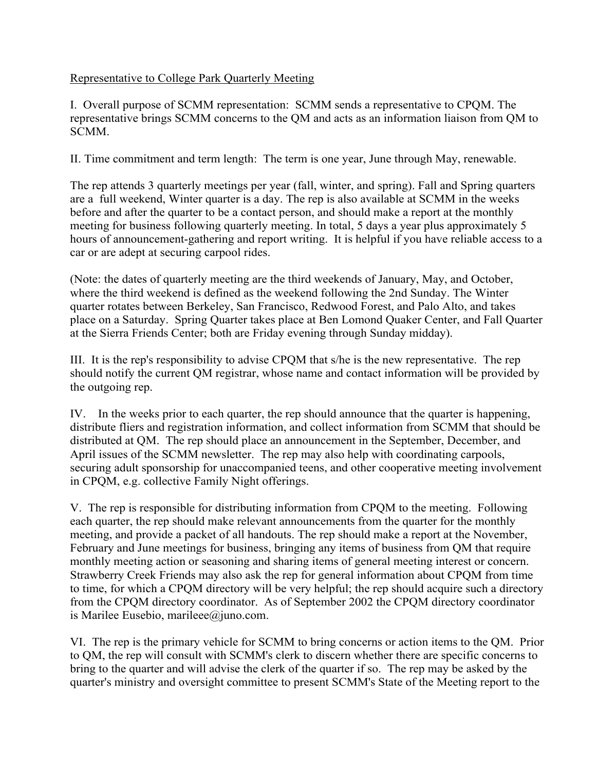## Representative to College Park Quarterly Meeting

I. Overall purpose of SCMM representation: SCMM sends a representative to CPQM. The representative brings SCMM concerns to the QM and acts as an information liaison from QM to SCMM.

II. Time commitment and term length: The term is one year, June through May, renewable.

The rep attends 3 quarterly meetings per year (fall, winter, and spring). Fall and Spring quarters are a full weekend, Winter quarter is a day. The rep is also available at SCMM in the weeks before and after the quarter to be a contact person, and should make a report at the monthly meeting for business following quarterly meeting. In total, 5 days a year plus approximately 5 hours of announcement-gathering and report writing. It is helpful if you have reliable access to a car or are adept at securing carpool rides.

(Note: the dates of quarterly meeting are the third weekends of January, May, and October, where the third weekend is defined as the weekend following the 2nd Sunday. The Winter quarter rotates between Berkeley, San Francisco, Redwood Forest, and Palo Alto, and takes place on a Saturday. Spring Quarter takes place at Ben Lomond Quaker Center, and Fall Quarter at the Sierra Friends Center; both are Friday evening through Sunday midday).

III. It is the rep's responsibility to advise CPQM that s/he is the new representative. The rep should notify the current QM registrar, whose name and contact information will be provided by the outgoing rep.

IV. In the weeks prior to each quarter, the rep should announce that the quarter is happening, distribute fliers and registration information, and collect information from SCMM that should be distributed at QM. The rep should place an announcement in the September, December, and April issues of the SCMM newsletter. The rep may also help with coordinating carpools, securing adult sponsorship for unaccompanied teens, and other cooperative meeting involvement in CPQM, e.g. collective Family Night offerings.

V. The rep is responsible for distributing information from CPQM to the meeting. Following each quarter, the rep should make relevant announcements from the quarter for the monthly meeting, and provide a packet of all handouts. The rep should make a report at the November, February and June meetings for business, bringing any items of business from QM that require monthly meeting action or seasoning and sharing items of general meeting interest or concern. Strawberry Creek Friends may also ask the rep for general information about CPQM from time to time, for which a CPQM directory will be very helpful; the rep should acquire such a directory from the CPQM directory coordinator. As of September 2002 the CPQM directory coordinator is Marilee Eusebio, marileee@juno.com.

VI. The rep is the primary vehicle for SCMM to bring concerns or action items to the QM. Prior to QM, the rep will consult with SCMM's clerk to discern whether there are specific concerns to bring to the quarter and will advise the clerk of the quarter if so. The rep may be asked by the quarter's ministry and oversight committee to present SCMM's State of the Meeting report to the